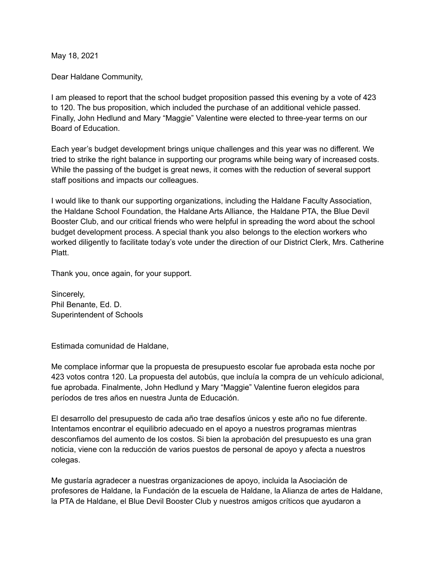May 18, 2021

Dear Haldane Community,

I am pleased to report that the school budget proposition passed this evening by a vote of 423 to 120. The bus proposition, which included the purchase of an additional vehicle passed. Finally, John Hedlund and Mary "Maggie" Valentine were elected to three-year terms on our Board of Education.

Each year's budget development brings unique challenges and this year was no different. We tried to strike the right balance in supporting our programs while being wary of increased costs. While the passing of the budget is great news, it comes with the reduction of several support staff positions and impacts our colleagues.

I would like to thank our supporting organizations, including the Haldane Faculty Association, the Haldane School Foundation, the Haldane Arts Alliance, the Haldane PTA, the Blue Devil Booster Club, and our critical friends who were helpful in spreading the word about the school budget development process. A special thank you also belongs to the election workers who worked diligently to facilitate today's vote under the direction of our District Clerk, Mrs. Catherine **Platt** 

Thank you, once again, for your support.

Sincerely, Phil Benante, Ed. D. Superintendent of Schools

Estimada comunidad de Haldane,

Me complace informar que la propuesta de presupuesto escolar fue aprobada esta noche por 423 votos contra 120. La propuesta del autobús, que incluía la compra de un vehículo adicional, fue aprobada. Finalmente, John Hedlund y Mary "Maggie" Valentine fueron elegidos para períodos de tres años en nuestra Junta de Educación.

El desarrollo del presupuesto de cada año trae desafíos únicos y este año no fue diferente. Intentamos encontrar el equilibrio adecuado en el apoyo a nuestros programas mientras desconfiamos del aumento de los costos. Si bien la aprobación del presupuesto es una gran noticia, viene con la reducción de varios puestos de personal de apoyo y afecta a nuestros colegas.

Me gustaría agradecer a nuestras organizaciones de apoyo, incluida la Asociación de profesores de Haldane, la Fundación de la escuela de Haldane, la Alianza de artes de Haldane, la PTA de Haldane, el Blue Devil Booster Club y nuestros amigos críticos que ayudaron a